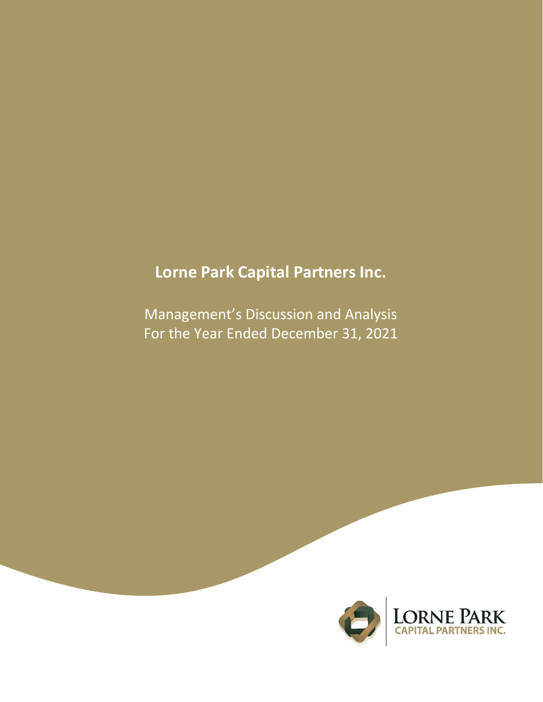# **Lorne Park Capital Partners Inc.**

Management's Discussion and Analysis For the Year Ended December 31, 2021

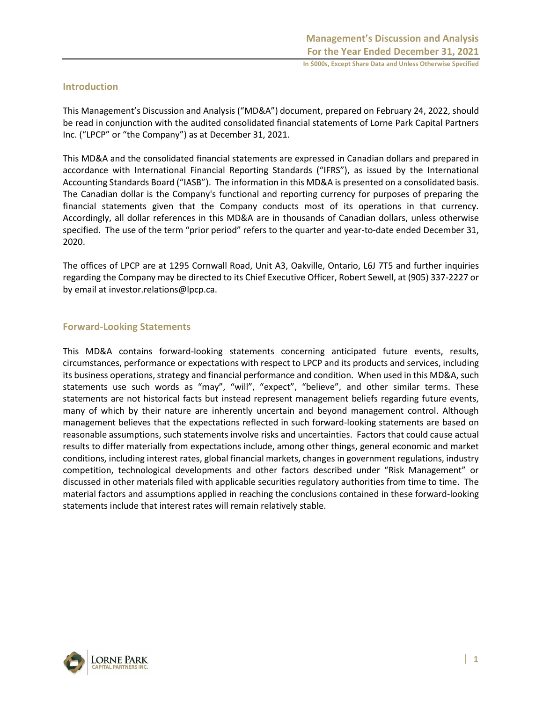#### **Introduction**

This Management's Discussion and Analysis ("MD&A") document, prepared on February 24, 2022, should be read in conjunction with the audited consolidated financial statements of Lorne Park Capital Partners Inc. ("LPCP" or "the Company") as at December 31, 2021.

This MD&A and the consolidated financial statements are expressed in Canadian dollars and prepared in accordance with International Financial Reporting Standards ("IFRS"), as issued by the International Accounting Standards Board ("IASB"). The information in this MD&A is presented on a consolidated basis. The Canadian dollar is the Company's functional and reporting currency for purposes of preparing the financial statements given that the Company conducts most of its operations in that currency. Accordingly, all dollar references in this MD&A are in thousands of Canadian dollars, unless otherwise specified. The use of the term "prior period" refers to the quarter and year-to-date ended December 31, 2020.

The offices of LPCP are at 1295 Cornwall Road, Unit A3, Oakville, Ontario, L6J 7T5 and further inquiries regarding the Company may be directed to its Chief Executive Officer, Robert Sewell, at (905) 337-2227 or by email at investor.relations@lpcp.ca.

#### **Forward-Looking Statements**

This MD&A contains forward-looking statements concerning anticipated future events, results, circumstances, performance or expectations with respect to LPCP and its products and services, including its business operations, strategy and financial performance and condition. When used in this MD&A, such statements use such words as "may", "will", "expect", "believe", and other similar terms. These statements are not historical facts but instead represent management beliefs regarding future events, many of which by their nature are inherently uncertain and beyond management control. Although management believes that the expectations reflected in such forward-looking statements are based on reasonable assumptions, such statements involve risks and uncertainties. Factors that could cause actual results to differ materially from expectations include, among other things, general economic and market conditions, including interest rates, global financial markets, changes in government regulations, industry competition, technological developments and other factors described under "Risk Management" or discussed in other materials filed with applicable securities regulatory authorities from time to time. The material factors and assumptions applied in reaching the conclusions contained in these forward-looking statements include that interest rates will remain relatively stable.

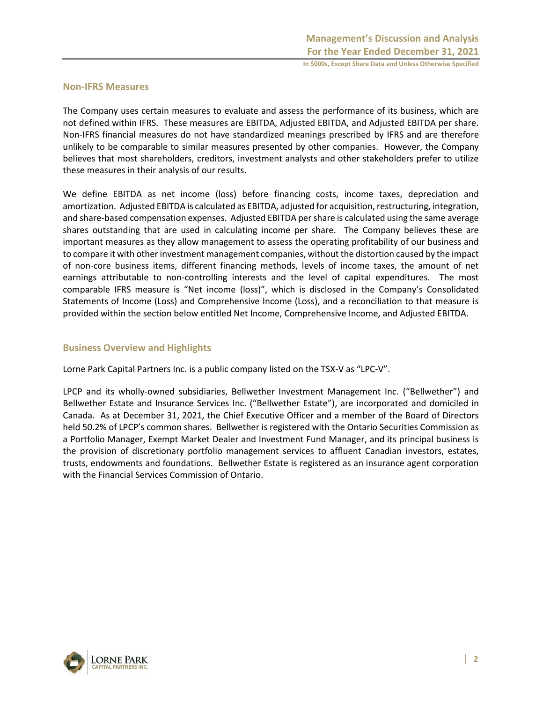#### **Non-IFRS Measures**

The Company uses certain measures to evaluate and assess the performance of its business, which are not defined within IFRS. These measures are EBITDA, Adjusted EBITDA, and Adjusted EBITDA per share. Non-IFRS financial measures do not have standardized meanings prescribed by IFRS and are therefore unlikely to be comparable to similar measures presented by other companies. However, the Company believes that most shareholders, creditors, investment analysts and other stakeholders prefer to utilize these measures in their analysis of our results.

We define EBITDA as net income (loss) before financing costs, income taxes, depreciation and amortization. Adjusted EBITDA is calculated as EBITDA, adjusted for acquisition, restructuring, integration, and share-based compensation expenses. Adjusted EBITDA per share is calculated using the same average shares outstanding that are used in calculating income per share. The Company believes these are important measures as they allow management to assess the operating profitability of our business and to compare it with other investment management companies, without the distortion caused by the impact of non-core business items, different financing methods, levels of income taxes, the amount of net earnings attributable to non-controlling interests and the level of capital expenditures. The most comparable IFRS measure is "Net income (loss)", which is disclosed in the Company's Consolidated Statements of Income (Loss) and Comprehensive Income (Loss), and a reconciliation to that measure is provided within the section below entitled Net Income, Comprehensive Income, and Adjusted EBITDA.

#### **Business Overview and Highlights**

Lorne Park Capital Partners Inc. is a public company listed on the TSX-V as "LPC-V".

LPCP and its wholly-owned subsidiaries, Bellwether Investment Management Inc. ("Bellwether") and Bellwether Estate and Insurance Services Inc. ("Bellwether Estate"), are incorporated and domiciled in Canada. As at December 31, 2021, the Chief Executive Officer and a member of the Board of Directors held 50.2% of LPCP's common shares. Bellwether is registered with the Ontario Securities Commission as a Portfolio Manager, Exempt Market Dealer and Investment Fund Manager, and its principal business is the provision of discretionary portfolio management services to affluent Canadian investors, estates, trusts, endowments and foundations. Bellwether Estate is registered as an insurance agent corporation with the Financial Services Commission of Ontario.

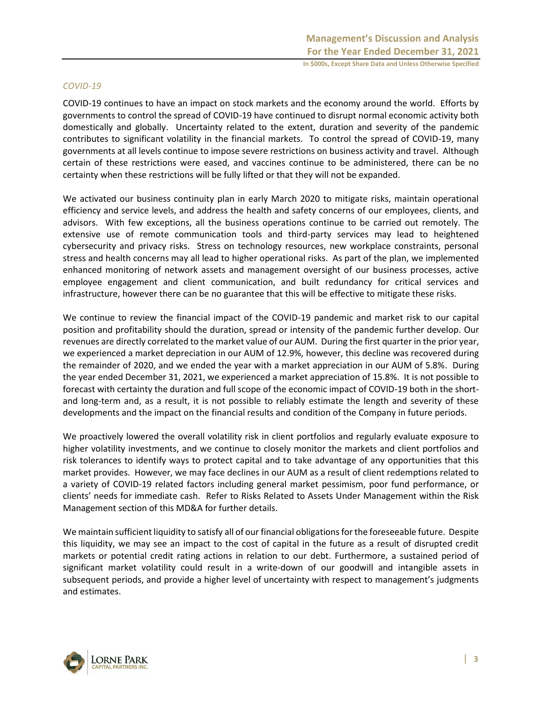#### *COVID-19*

COVID-19 continues to have an impact on stock markets and the economy around the world. Efforts by governments to control the spread of COVID-19 have continued to disrupt normal economic activity both domestically and globally. Uncertainty related to the extent, duration and severity of the pandemic contributes to significant volatility in the financial markets. To control the spread of COVID-19, many governments at all levels continue to impose severe restrictions on business activity and travel. Although certain of these restrictions were eased, and vaccines continue to be administered, there can be no certainty when these restrictions will be fully lifted or that they will not be expanded.

We activated our business continuity plan in early March 2020 to mitigate risks, maintain operational efficiency and service levels, and address the health and safety concerns of our employees, clients, and advisors. With few exceptions, all the business operations continue to be carried out remotely. The extensive use of remote communication tools and third-party services may lead to heightened cybersecurity and privacy risks. Stress on technology resources, new workplace constraints, personal stress and health concerns may all lead to higher operational risks. As part of the plan, we implemented enhanced monitoring of network assets and management oversight of our business processes, active employee engagement and client communication, and built redundancy for critical services and infrastructure, however there can be no guarantee that this will be effective to mitigate these risks.

We continue to review the financial impact of the COVID-19 pandemic and market risk to our capital position and profitability should the duration, spread or intensity of the pandemic further develop. Our revenues are directly correlated to the market value of our AUM. During the first quarter in the prior year, we experienced a market depreciation in our AUM of 12.9%, however, this decline was recovered during the remainder of 2020, and we ended the year with a market appreciation in our AUM of 5.8%. During the year ended December 31, 2021, we experienced a market appreciation of 15.8%. It is not possible to forecast with certainty the duration and full scope of the economic impact of COVID-19 both in the shortand long-term and, as a result, it is not possible to reliably estimate the length and severity of these developments and the impact on the financial results and condition of the Company in future periods.

We proactively lowered the overall volatility risk in client portfolios and regularly evaluate exposure to higher volatility investments, and we continue to closely monitor the markets and client portfolios and risk tolerances to identify ways to protect capital and to take advantage of any opportunities that this market provides. However, we may face declines in our AUM as a result of client redemptions related to a variety of COVID-19 related factors including general market pessimism, poor fund performance, or clients' needs for immediate cash. Refer to Risks Related to Assets Under Management within the Risk Management section of this MD&A for further details.

We maintain sufficient liquidity to satisfy all of our financial obligations for the foreseeable future. Despite this liquidity, we may see an impact to the cost of capital in the future as a result of disrupted credit markets or potential credit rating actions in relation to our debt. Furthermore, a sustained period of significant market volatility could result in a write-down of our goodwill and intangible assets in subsequent periods, and provide a higher level of uncertainty with respect to management's judgments and estimates.

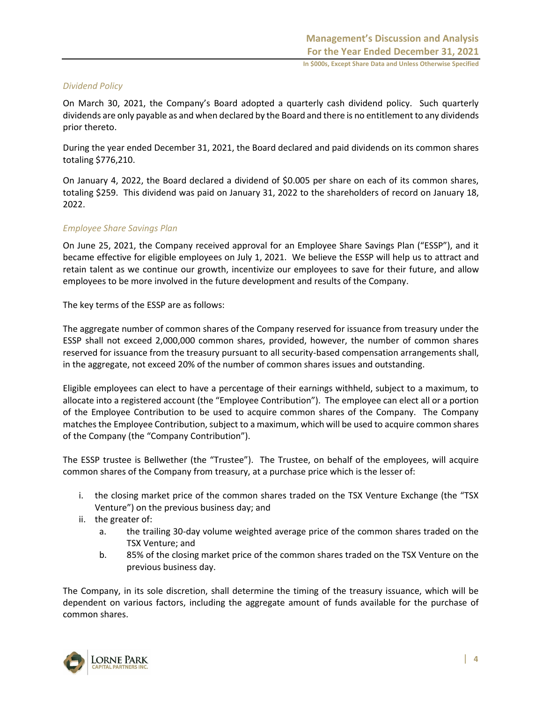#### *Dividend Policy*

On March 30, 2021, the Company's Board adopted a quarterly cash dividend policy. Such quarterly dividends are only payable as and when declared by the Board and there is no entitlement to any dividends prior thereto.

During the year ended December 31, 2021, the Board declared and paid dividends on its common shares totaling \$776,210.

On January 4, 2022, the Board declared a dividend of \$0.005 per share on each of its common shares, totaling \$259. This dividend was paid on January 31, 2022 to the shareholders of record on January 18, 2022.

#### *Employee Share Savings Plan*

On June 25, 2021, the Company received approval for an Employee Share Savings Plan ("ESSP"), and it became effective for eligible employees on July 1, 2021. We believe the ESSP will help us to attract and retain talent as we continue our growth, incentivize our employees to save for their future, and allow employees to be more involved in the future development and results of the Company.

The key terms of the ESSP are as follows:

The aggregate number of common shares of the Company reserved for issuance from treasury under the ESSP shall not exceed 2,000,000 common shares, provided, however, the number of common shares reserved for issuance from the treasury pursuant to all security-based compensation arrangements shall, in the aggregate, not exceed 20% of the number of common shares issues and outstanding.

Eligible employees can elect to have a percentage of their earnings withheld, subject to a maximum, to allocate into a registered account (the "Employee Contribution"). The employee can elect all or a portion of the Employee Contribution to be used to acquire common shares of the Company. The Company matches the Employee Contribution, subject to a maximum, which will be used to acquire common shares of the Company (the "Company Contribution").

The ESSP trustee is Bellwether (the "Trustee"). The Trustee, on behalf of the employees, will acquire common shares of the Company from treasury, at a purchase price which is the lesser of:

- i. the closing market price of the common shares traded on the TSX Venture Exchange (the "TSX Venture") on the previous business day; and
- ii. the greater of:
	- a. the trailing 30-day volume weighted average price of the common shares traded on the TSX Venture; and
	- b. 85% of the closing market price of the common shares traded on the TSX Venture on the previous business day.

The Company, in its sole discretion, shall determine the timing of the treasury issuance, which will be dependent on various factors, including the aggregate amount of funds available for the purchase of common shares.

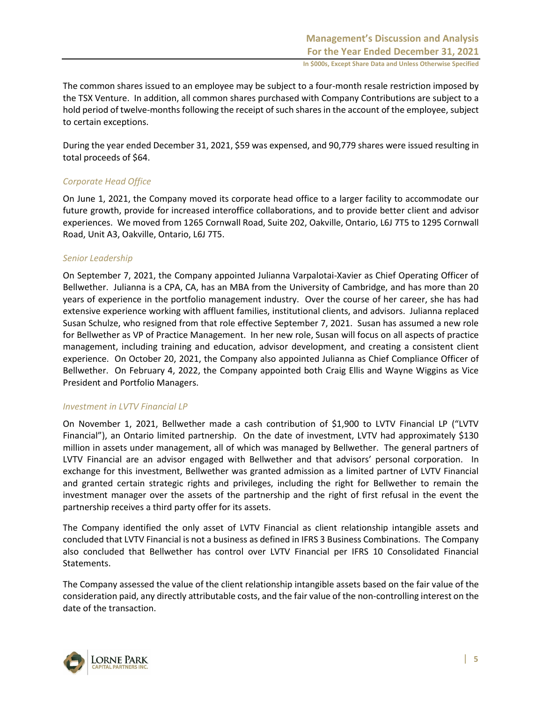The common shares issued to an employee may be subject to a four-month resale restriction imposed by the TSX Venture. In addition, all common shares purchased with Company Contributions are subject to a hold period of twelve-months following the receipt of such shares in the account of the employee, subject to certain exceptions.

During the year ended December 31, 2021, \$59 was expensed, and 90,779 shares were issued resulting in total proceeds of \$64.

#### *Corporate Head Office*

On June 1, 2021, the Company moved its corporate head office to a larger facility to accommodate our future growth, provide for increased interoffice collaborations, and to provide better client and advisor experiences. We moved from 1265 Cornwall Road, Suite 202, Oakville, Ontario, L6J 7T5 to 1295 Cornwall Road, Unit A3, Oakville, Ontario, L6J 7T5.

#### *Senior Leadership*

On September 7, 2021, the Company appointed Julianna Varpalotai-Xavier as Chief Operating Officer of Bellwether. Julianna is a CPA, CA, has an MBA from the University of Cambridge, and has more than 20 years of experience in the portfolio management industry. Over the course of her career, she has had extensive experience working with affluent families, institutional clients, and advisors. Julianna replaced Susan Schulze, who resigned from that role effective September 7, 2021. Susan has assumed a new role for Bellwether as VP of Practice Management. In her new role, Susan will focus on all aspects of practice management, including training and education, advisor development, and creating a consistent client experience. On October 20, 2021, the Company also appointed Julianna as Chief Compliance Officer of Bellwether. On February 4, 2022, the Company appointed both Craig Ellis and Wayne Wiggins as Vice President and Portfolio Managers.

#### *Investment in LVTV Financial LP*

On November 1, 2021, Bellwether made a cash contribution of \$1,900 to LVTV Financial LP ("LVTV Financial"), an Ontario limited partnership. On the date of investment, LVTV had approximately \$130 million in assets under management, all of which was managed by Bellwether. The general partners of LVTV Financial are an advisor engaged with Bellwether and that advisors' personal corporation. In exchange for this investment, Bellwether was granted admission as a limited partner of LVTV Financial and granted certain strategic rights and privileges, including the right for Bellwether to remain the investment manager over the assets of the partnership and the right of first refusal in the event the partnership receives a third party offer for its assets.

The Company identified the only asset of LVTV Financial as client relationship intangible assets and concluded that LVTV Financial is not a business as defined in IFRS 3 Business Combinations. The Company also concluded that Bellwether has control over LVTV Financial per IFRS 10 Consolidated Financial Statements.

The Company assessed the value of the client relationship intangible assets based on the fair value of the consideration paid, any directly attributable costs, and the fair value of the non-controlling interest on the date of the transaction.

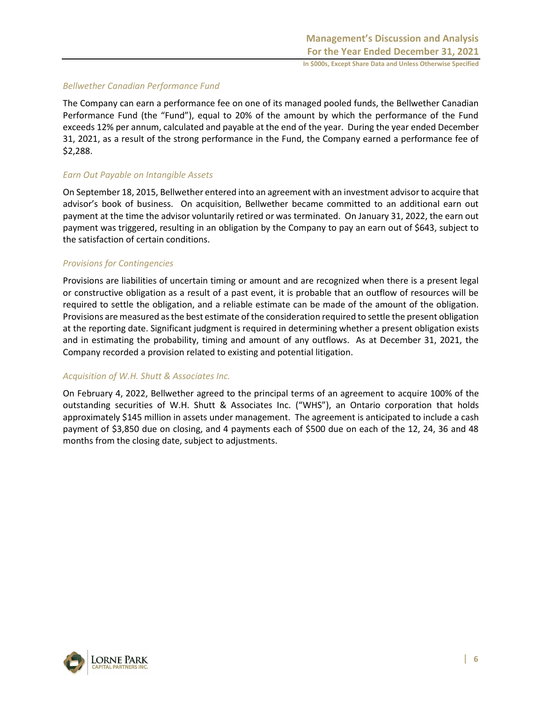#### *Bellwether Canadian Performance Fund*

The Company can earn a performance fee on one of its managed pooled funds, the Bellwether Canadian Performance Fund (the "Fund"), equal to 20% of the amount by which the performance of the Fund exceeds 12% per annum, calculated and payable at the end of the year. During the year ended December 31, 2021, as a result of the strong performance in the Fund, the Company earned a performance fee of \$2,288.

#### *Earn Out Payable on Intangible Assets*

On September 18, 2015, Bellwether entered into an agreement with an investment advisor to acquire that advisor's book of business. On acquisition, Bellwether became committed to an additional earn out payment at the time the advisor voluntarily retired or was terminated. On January 31, 2022, the earn out payment was triggered, resulting in an obligation by the Company to pay an earn out of \$643, subject to the satisfaction of certain conditions.

#### *Provisions for Contingencies*

Provisions are liabilities of uncertain timing or amount and are recognized when there is a present legal or constructive obligation as a result of a past event, it is probable that an outflow of resources will be required to settle the obligation, and a reliable estimate can be made of the amount of the obligation. Provisions are measured as the best estimate of the consideration required to settle the present obligation at the reporting date. Significant judgment is required in determining whether a present obligation exists and in estimating the probability, timing and amount of any outflows. As at December 31, 2021, the Company recorded a provision related to existing and potential litigation.

#### *Acquisition of W.H. Shutt & Associates Inc.*

On February 4, 2022, Bellwether agreed to the principal terms of an agreement to acquire 100% of the outstanding securities of W.H. Shutt & Associates Inc. ("WHS"), an Ontario corporation that holds approximately \$145 million in assets under management. The agreement is anticipated to include a cash payment of \$3,850 due on closing, and 4 payments each of \$500 due on each of the 12, 24, 36 and 48 months from the closing date, subject to adjustments.

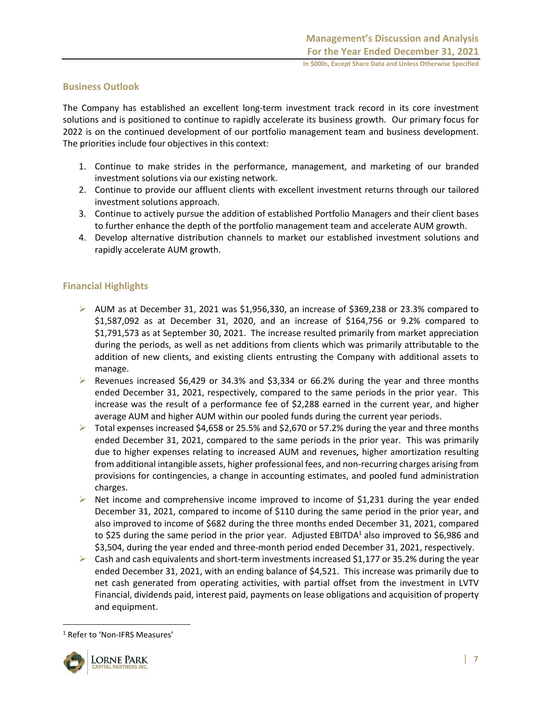#### **Business Outlook**

The Company has established an excellent long-term investment track record in its core investment solutions and is positioned to continue to rapidly accelerate its business growth. Our primary focus for 2022 is on the continued development of our portfolio management team and business development. The priorities include four objectives in this context:

- 1. Continue to make strides in the performance, management, and marketing of our branded investment solutions via our existing network.
- 2. Continue to provide our affluent clients with excellent investment returns through our tailored investment solutions approach.
- 3. Continue to actively pursue the addition of established Portfolio Managers and their client bases to further enhance the depth of the portfolio management team and accelerate AUM growth.
- 4. Develop alternative distribution channels to market our established investment solutions and rapidly accelerate AUM growth.

#### **Financial Highlights**

- $\triangleright$  AUM as at December 31, 2021 was \$1,956,330, an increase of \$369,238 or 23.3% compared to \$1,587,092 as at December 31, 2020, and an increase of \$164,756 or 9.2% compared to \$1,791,573 as at September 30, 2021. The increase resulted primarily from market appreciation during the periods, as well as net additions from clients which was primarily attributable to the addition of new clients, and existing clients entrusting the Company with additional assets to manage.
- Exercies increased \$6,429 or 34.3% and \$3,334 or 66.2% during the year and three months ended December 31, 2021, respectively, compared to the same periods in the prior year. This increase was the result of a performance fee of \$2,288 earned in the current year, and higher average AUM and higher AUM within our pooled funds during the current year periods.
- $\triangleright$  Total expenses increased \$4,658 or 25.5% and \$2,670 or 57.2% during the year and three months ended December 31, 2021, compared to the same periods in the prior year. This was primarily due to higher expenses relating to increased AUM and revenues, higher amortization resulting from additional intangible assets, higher professional fees, and non-recurring charges arising from provisions for contingencies, a change in accounting estimates, and pooled fund administration charges.
- $\triangleright$  Net income and comprehensive income improved to income of \$1,231 during the year ended December 31, 2021, compared to income of \$110 during the same period in the prior year, and also improved to income of \$682 during the three months ended December 31, 2021, compared to \$25 during the same period in the prior year. Adjusted EBITDA<sup>1</sup> also improved to \$6,986 and \$3,504, during the year ended and three-month period ended December 31, 2021, respectively.
- $\triangleright$  Cash and cash equivalents and short-term investments increased \$1,177 or 35.2% during the year ended December 31, 2021, with an ending balance of \$4,521. This increase was primarily due to net cash generated from operating activities, with partial offset from the investment in LVTV Financial, dividends paid, interest paid, payments on lease obligations and acquisition of property and equipment.

<sup>1</sup> Refer to 'Non-IFRS Measures'

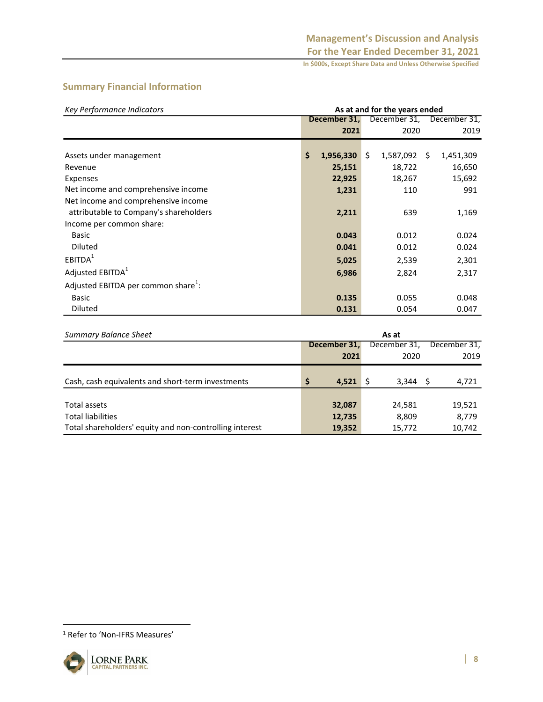# **Summary Financial Information**

| Key Performance Indicators                      |       | As at and for the years ended |                 |                   |  |  |  |  |
|-------------------------------------------------|-------|-------------------------------|-----------------|-------------------|--|--|--|--|
|                                                 |       | December 31,                  | December 31,    | December 31,      |  |  |  |  |
|                                                 |       | 2021                          | 2020            | 2019              |  |  |  |  |
|                                                 |       |                               |                 |                   |  |  |  |  |
| Assets under management                         | \$    | 1,956,330                     | \$<br>1,587,092 | - \$<br>1,451,309 |  |  |  |  |
| Revenue                                         |       | 25,151                        | 18,722          | 16,650            |  |  |  |  |
| <b>Expenses</b>                                 |       | 22,925                        | 18,267          | 15,692            |  |  |  |  |
| Net income and comprehensive income             |       | 1,231                         | 110             | 991               |  |  |  |  |
| Net income and comprehensive income             |       |                               |                 |                   |  |  |  |  |
| attributable to Company's shareholders          |       | 2,211                         | 639             | 1,169             |  |  |  |  |
| Income per common share:                        |       |                               |                 |                   |  |  |  |  |
| <b>Basic</b>                                    |       | 0.043                         | 0.012           | 0.024             |  |  |  |  |
| Diluted                                         |       | 0.041                         | 0.012           | 0.024             |  |  |  |  |
| EBITDA <sup>1</sup>                             |       | 5,025                         | 2,539           | 2,301             |  |  |  |  |
| Adjusted EBITDA <sup>1</sup>                    |       | 6,986                         | 2,824           | 2,317             |  |  |  |  |
| Adjusted EBITDA per common share <sup>1</sup> : |       |                               |                 |                   |  |  |  |  |
| Basic                                           |       | 0.135                         | 0.055           | 0.048             |  |  |  |  |
| Diluted                                         |       | 0.131                         | 0.054           | 0.047             |  |  |  |  |
|                                                 |       |                               |                 |                   |  |  |  |  |
| <b>Summary Balance Sheet</b>                    | As at |                               |                 |                   |  |  |  |  |
|                                                 |       | December 31.                  | December 31,    | December 31.      |  |  |  |  |

| Summary Balance Sheet                                   | As at         |              |              |  |  |
|---------------------------------------------------------|---------------|--------------|--------------|--|--|
|                                                         | December 31,  | December 31, | December 31, |  |  |
|                                                         | 2021          | 2020         | 2019         |  |  |
| Cash, cash equivalents and short-term investments       | S<br>4,521 \$ | $3,344$ \$   | 4,721        |  |  |
| Total assets                                            | 32,087        | 24,581       | 19,521       |  |  |
| <b>Total liabilities</b>                                | 12,735        | 8,809        | 8,779        |  |  |
| Total shareholders' equity and non-controlling interest | 19,352        | 15,772       | 10,742       |  |  |

<sup>1</sup> Refer to 'Non-IFRS Measures'

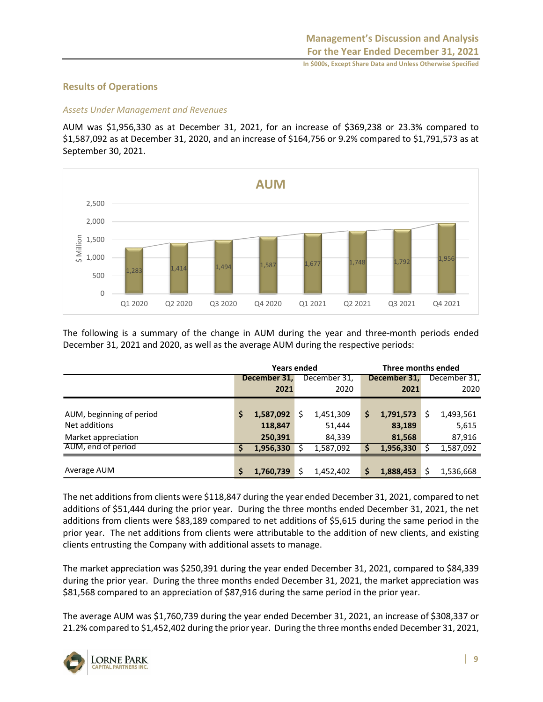# **Results of Operations**

## *Assets Under Management and Revenues*

AUM was \$1,956,330 as at December 31, 2021, for an increase of \$369,238 or 23.3% compared to \$1,587,092 as at December 31, 2020, and an increase of \$164,756 or 9.2% compared to \$1,791,573 as at September 30, 2021.



The following is a summary of the change in AUM during the year and three-month periods ended December 31, 2021 and 2020, as well as the average AUM during the respective periods:

|                          |              | <b>Years ended</b> |     |              | Three months ended |              |   |              |  |
|--------------------------|--------------|--------------------|-----|--------------|--------------------|--------------|---|--------------|--|
|                          | December 31, |                    |     | December 31, |                    | December 31, |   | December 31, |  |
|                          |              | 2021               |     | 2020         |                    | 2021         |   | 2020         |  |
|                          |              |                    |     |              |                    |              |   |              |  |
| AUM, beginning of period | S            | 1,587,092          | Ś   | 1,451,309    | \$                 | 1,791,573    | S | 1,493,561    |  |
| Net additions            |              | 118,847            |     | 51,444       |                    | 83,189       |   | 5,615        |  |
| Market appreciation      |              | 250,391            |     | 84,339       |                    | 81,568       |   | 87,916       |  |
| AUM, end of period       | S            | 1,956,330          |     | 1,587,092    | \$                 | 1,956,330    |   | 1,587,092    |  |
|                          |              |                    |     |              |                    |              |   |              |  |
| Average AUM              | \$           | 1,760,739          | \$. | 1,452,402    | \$                 | 1,888,453    | Ś | 1,536,668    |  |

The net additions from clients were \$118,847 during the year ended December 31, 2021, compared to net additions of \$51,444 during the prior year. During the three months ended December 31, 2021, the net additions from clients were \$83,189 compared to net additions of \$5,615 during the same period in the prior year. The net additions from clients were attributable to the addition of new clients, and existing clients entrusting the Company with additional assets to manage.

The market appreciation was \$250,391 during the year ended December 31, 2021, compared to \$84,339 during the prior year. During the three months ended December 31, 2021, the market appreciation was \$81,568 compared to an appreciation of \$87,916 during the same period in the prior year.

The average AUM was \$1,760,739 during the year ended December 31, 2021, an increase of \$308,337 or 21.2% compared to \$1,452,402 during the prior year. During the three months ended December 31, 2021,

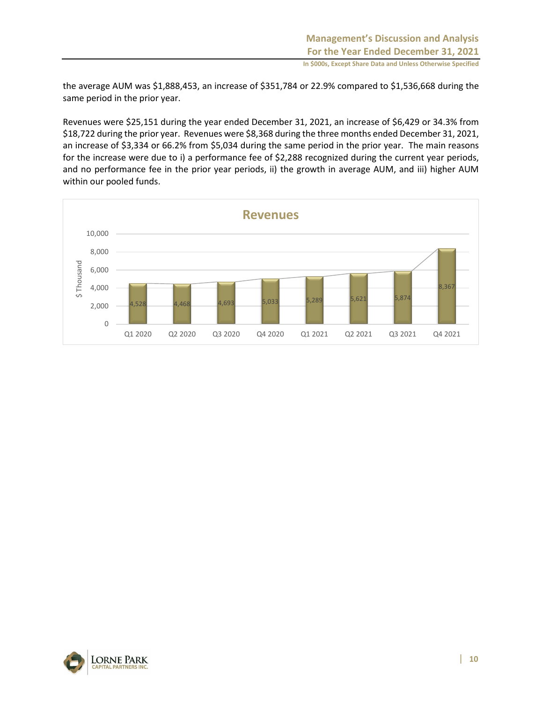the average AUM was \$1,888,453, an increase of \$351,784 or 22.9% compared to \$1,536,668 during the same period in the prior year.

Revenues were \$25,151 during the year ended December 31, 2021, an increase of \$6,429 or 34.3% from \$18,722 during the prior year. Revenues were \$8,368 during the three months ended December 31, 2021, an increase of \$3,334 or 66.2% from \$5,034 during the same period in the prior year. The main reasons for the increase were due to i) a performance fee of \$2,288 recognized during the current year periods, and no performance fee in the prior year periods, ii) the growth in average AUM, and iii) higher AUM within our pooled funds.



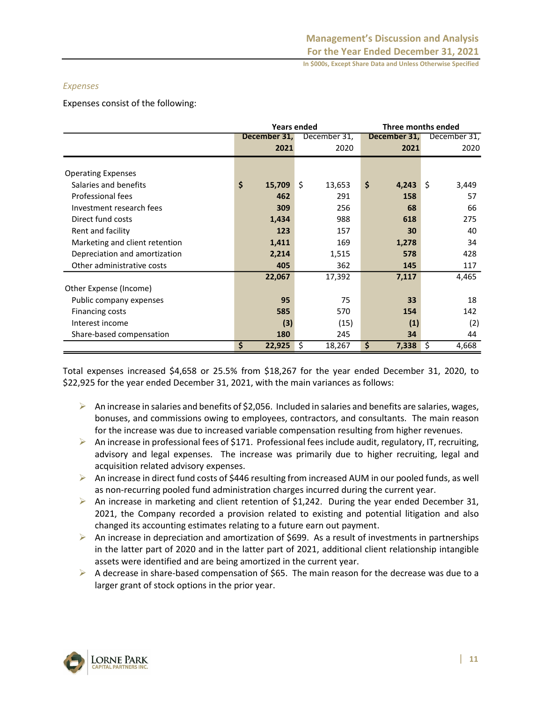#### *Expenses*

Expenses consist of the following:

|                                |              | <b>Years ended</b> | Three months ended |              |  |  |  |
|--------------------------------|--------------|--------------------|--------------------|--------------|--|--|--|
|                                | December 31, | December 31,       | December 31,       | December 31, |  |  |  |
|                                | 2021         | 2020               | 2021               | 2020         |  |  |  |
|                                |              |                    |                    |              |  |  |  |
| <b>Operating Expenses</b>      |              |                    |                    |              |  |  |  |
| Salaries and benefits          | \$<br>15,709 | \$<br>13,653       | \$<br>4,243        | \$<br>3,449  |  |  |  |
| Professional fees              | 462          | 291                | 158                | 57           |  |  |  |
| Investment research fees       | 309          | 256                | 68                 | 66           |  |  |  |
| Direct fund costs              | 1,434        | 988                | 618                | 275          |  |  |  |
| Rent and facility              | 123          | 157                | 30                 | 40           |  |  |  |
| Marketing and client retention | 1,411        | 169                | 1,278              | 34           |  |  |  |
| Depreciation and amortization  | 2,214        | 1,515              | 578                | 428          |  |  |  |
| Other administrative costs     | 405          | 362                | 145                | 117          |  |  |  |
|                                | 22,067       | 17,392             | 7,117              | 4,465        |  |  |  |
| Other Expense (Income)         |              |                    |                    |              |  |  |  |
| Public company expenses        | 95           | 75                 | 33                 | 18           |  |  |  |
| Financing costs                | 585          | 570                | 154                | 142          |  |  |  |
| Interest income                | (3)          | (15)               | (1)                | (2)          |  |  |  |
| Share-based compensation       | 180          | 245                | 34                 | 44           |  |  |  |
|                                | \$<br>22,925 | \$<br>18,267       | \$<br>7,338        | \$<br>4,668  |  |  |  |

Total expenses increased \$4,658 or 25.5% from \$18,267 for the year ended December 31, 2020, to \$22,925 for the year ended December 31, 2021, with the main variances as follows:

- $\triangleright$  An increase in salaries and benefits of \$2,056. Included in salaries and benefits are salaries, wages, bonuses, and commissions owing to employees, contractors, and consultants. The main reason for the increase was due to increased variable compensation resulting from higher revenues.
- $\triangleright$  An increase in professional fees of \$171. Professional fees include audit, regulatory, IT, recruiting, advisory and legal expenses. The increase was primarily due to higher recruiting, legal and acquisition related advisory expenses.
- ➢ An increase in direct fund costs of \$446 resulting from increased AUM in our pooled funds, as well as non-recurring pooled fund administration charges incurred during the current year.
- ➢ An increase in marketing and client retention of \$1,242. During the year ended December 31, 2021, the Company recorded a provision related to existing and potential litigation and also changed its accounting estimates relating to a future earn out payment.
- $\triangleright$  An increase in depreciation and amortization of \$699. As a result of investments in partnerships in the latter part of 2020 and in the latter part of 2021, additional client relationship intangible assets were identified and are being amortized in the current year.
- $\triangleright$  A decrease in share-based compensation of \$65. The main reason for the decrease was due to a larger grant of stock options in the prior year.

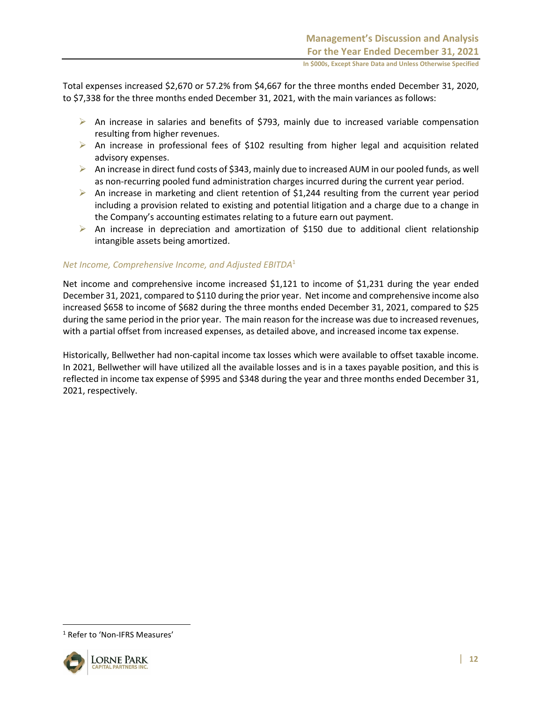Total expenses increased \$2,670 or 57.2% from \$4,667 for the three months ended December 31, 2020, to \$7,338 for the three months ended December 31, 2021, with the main variances as follows:

- $\triangleright$  An increase in salaries and benefits of \$793, mainly due to increased variable compensation resulting from higher revenues.
- ➢ An increase in professional fees of \$102 resulting from higher legal and acquisition related advisory expenses.
- $\triangleright$  An increase in direct fund costs of \$343, mainly due to increased AUM in our pooled funds, as well as non-recurring pooled fund administration charges incurred during the current year period.
- $\triangleright$  An increase in marketing and client retention of \$1,244 resulting from the current year period including a provision related to existing and potential litigation and a charge due to a change in the Company's accounting estimates relating to a future earn out payment.
- $\triangleright$  An increase in depreciation and amortization of \$150 due to additional client relationship intangible assets being amortized.

#### *Net Income, Comprehensive Income, and Adjusted EBITDA*<sup>1</sup>

Net income and comprehensive income increased \$1,121 to income of \$1,231 during the year ended December 31, 2021, compared to \$110 during the prior year. Net income and comprehensive income also increased \$658 to income of \$682 during the three months ended December 31, 2021, compared to \$25 during the same period in the prior year. The main reason for the increase was due to increased revenues, with a partial offset from increased expenses, as detailed above, and increased income tax expense.

Historically, Bellwether had non-capital income tax losses which were available to offset taxable income. In 2021, Bellwether will have utilized all the available losses and is in a taxes payable position, and this is reflected in income tax expense of \$995 and \$348 during the year and three months ended December 31, 2021, respectively.

<sup>&</sup>lt;sup>1</sup> Refer to 'Non-IFRS Measures'

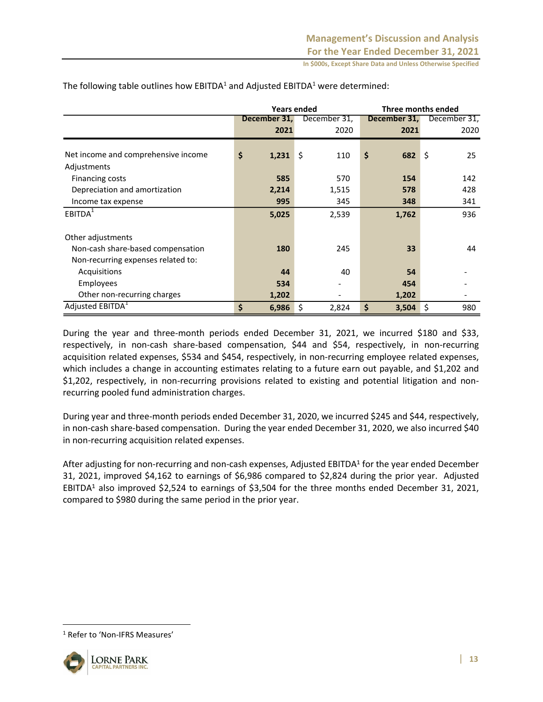|                                     |              | <b>Years ended</b> | Three months ended |              |  |  |  |  |
|-------------------------------------|--------------|--------------------|--------------------|--------------|--|--|--|--|
|                                     | December 31, | December 31,       | December 31,       | December 31, |  |  |  |  |
|                                     | 2021         | 2020               | 2021               | 2020         |  |  |  |  |
|                                     |              |                    |                    |              |  |  |  |  |
| Net income and comprehensive income | \$<br>1,231  | \$<br>110          | \$<br>682          | \$<br>25     |  |  |  |  |
| Adjustments                         |              |                    |                    |              |  |  |  |  |
| Financing costs                     | 585          | 570                | 154                | 142          |  |  |  |  |
| Depreciation and amortization       | 2,214        | 1,515              | 578                | 428          |  |  |  |  |
| Income tax expense                  | 995          | 345                | 348                | 341          |  |  |  |  |
| EBITDA <sup>1</sup>                 | 5,025        | 2,539              | 1,762              | 936          |  |  |  |  |
| Other adjustments                   |              |                    |                    |              |  |  |  |  |
| Non-cash share-based compensation   | 180          | 245                | 33                 | 44           |  |  |  |  |
| Non-recurring expenses related to:  |              |                    |                    |              |  |  |  |  |
| Acquisitions                        | 44           | 40                 | 54                 |              |  |  |  |  |
| <b>Employees</b>                    | 534          |                    | 454                |              |  |  |  |  |
| Other non-recurring charges         | 1,202        |                    | 1,202              |              |  |  |  |  |
| Adjusted EBITDA <sup>1</sup>        | \$<br>6,986  | \$<br>2,824        | \$<br>3,504        | \$<br>980    |  |  |  |  |

The following table outlines how  $EBITDA<sup>1</sup>$  and Adjusted  $EBITDA<sup>1</sup>$  were determined:

During the year and three-month periods ended December 31, 2021, we incurred \$180 and \$33, respectively, in non-cash share-based compensation, \$44 and \$54, respectively, in non-recurring acquisition related expenses, \$534 and \$454, respectively, in non-recurring employee related expenses, which includes a change in accounting estimates relating to a future earn out payable, and \$1,202 and \$1,202, respectively, in non-recurring provisions related to existing and potential litigation and nonrecurring pooled fund administration charges.

During year and three-month periods ended December 31, 2020, we incurred \$245 and \$44, respectively, in non-cash share-based compensation. During the year ended December 31, 2020, we also incurred \$40 in non-recurring acquisition related expenses.

After adjusting for non-recurring and non-cash expenses, Adjusted EBITDA<sup>1</sup> for the year ended December 31, 2021, improved \$4,162 to earnings of \$6,986 compared to \$2,824 during the prior year. Adjusted EBITDA<sup>1</sup> also improved \$2,524 to earnings of \$3,504 for the three months ended December 31, 2021, compared to \$980 during the same period in the prior year.

<sup>1</sup> Refer to 'Non-IFRS Measures'

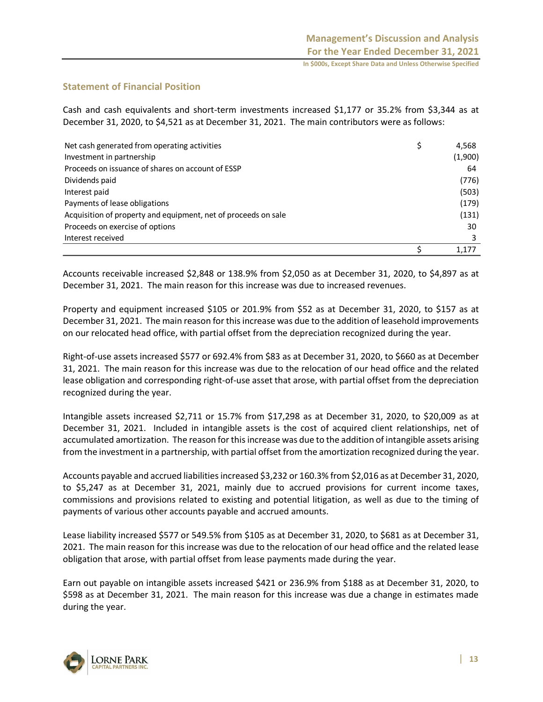# **Statement of Financial Position**

Cash and cash equivalents and short-term investments increased \$1,177 or 35.2% from \$3,344 as at December 31, 2020, to \$4,521 as at December 31, 2021. The main contributors were as follows:

| Net cash generated from operating activities                   | \$<br>4,568 |
|----------------------------------------------------------------|-------------|
| Investment in partnership                                      | (1,900)     |
| Proceeds on issuance of shares on account of ESSP              | 64          |
| Dividends paid                                                 | (776)       |
| Interest paid                                                  | (503)       |
| Payments of lease obligations                                  | (179)       |
| Acquisition of property and equipment, net of proceeds on sale | (131)       |
| Proceeds on exercise of options                                | 30          |
| Interest received                                              |             |
|                                                                | 1.177       |

Accounts receivable increased \$2,848 or 138.9% from \$2,050 as at December 31, 2020, to \$4,897 as at December 31, 2021. The main reason for this increase was due to increased revenues.

Property and equipment increased \$105 or 201.9% from \$52 as at December 31, 2020, to \$157 as at December 31, 2021. The main reason for this increase was due to the addition of leasehold improvements on our relocated head office, with partial offset from the depreciation recognized during the year.

Right-of-use assets increased \$577 or 692.4% from \$83 as at December 31, 2020, to \$660 as at December 31, 2021. The main reason for this increase was due to the relocation of our head office and the related lease obligation and corresponding right-of-use asset that arose, with partial offset from the depreciation recognized during the year.

Intangible assets increased \$2,711 or 15.7% from \$17,298 as at December 31, 2020, to \$20,009 as at December 31, 2021. Included in intangible assets is the cost of acquired client relationships, net of accumulated amortization. The reason for this increase was due to the addition of intangible assets arising from the investment in a partnership, with partial offset from the amortization recognized during the year.

Accounts payable and accrued liabilities increased \$3,232 or 160.3% from \$2,016 as at December 31, 2020, to \$5,247 as at December 31, 2021, mainly due to accrued provisions for current income taxes, commissions and provisions related to existing and potential litigation, as well as due to the timing of payments of various other accounts payable and accrued amounts.

Lease liability increased \$577 or 549.5% from \$105 as at December 31, 2020, to \$681 as at December 31, 2021. The main reason for this increase was due to the relocation of our head office and the related lease obligation that arose, with partial offset from lease payments made during the year.

Earn out payable on intangible assets increased \$421 or 236.9% from \$188 as at December 31, 2020, to \$598 as at December 31, 2021. The main reason for this increase was due a change in estimates made during the year.

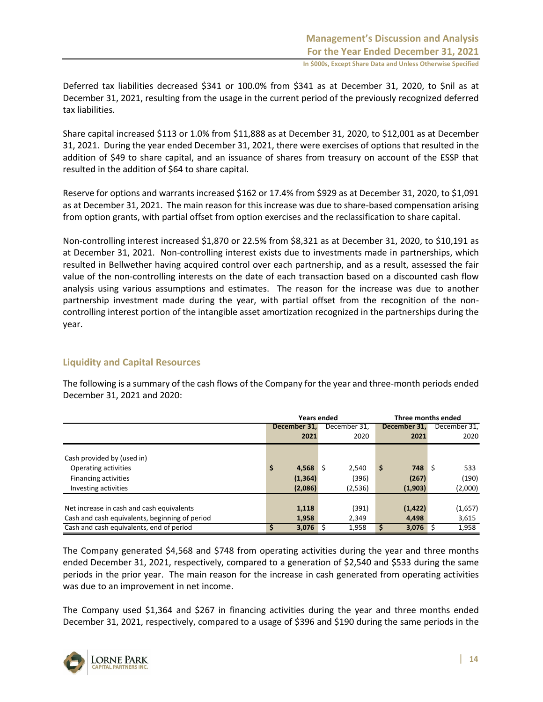Deferred tax liabilities decreased \$341 or 100.0% from \$341 as at December 31, 2020, to \$nil as at December 31, 2021, resulting from the usage in the current period of the previously recognized deferred tax liabilities.

Share capital increased \$113 or 1.0% from \$11,888 as at December 31, 2020, to \$12,001 as at December 31, 2021. During the year ended December 31, 2021, there were exercises of options that resulted in the addition of \$49 to share capital, and an issuance of shares from treasury on account of the ESSP that resulted in the addition of \$64 to share capital.

Reserve for options and warrants increased \$162 or 17.4% from \$929 as at December 31, 2020, to \$1,091 as at December 31, 2021. The main reason for this increase was due to share-based compensation arising from option grants, with partial offset from option exercises and the reclassification to share capital.

Non-controlling interest increased \$1,870 or 22.5% from \$8,321 as at December 31, 2020, to \$10,191 as at December 31, 2021. Non-controlling interest exists due to investments made in partnerships, which resulted in Bellwether having acquired control over each partnership, and as a result, assessed the fair value of the non-controlling interests on the date of each transaction based on a discounted cash flow analysis using various assumptions and estimates. The reason for the increase was due to another partnership investment made during the year, with partial offset from the recognition of the noncontrolling interest portion of the intangible asset amortization recognized in the partnerships during the year.

#### **Liquidity and Capital Resources**

The following is a summary of the cash flows of the Company for the year and three-month periods ended December 31, 2021 and 2020:

|                                                | <b>Years ended</b> |              | Three months ended |              |  |  |  |  |
|------------------------------------------------|--------------------|--------------|--------------------|--------------|--|--|--|--|
|                                                | December 31.       | December 31, | December 31.       | December 31. |  |  |  |  |
|                                                | 2021               | 2020         | 2021               | 2020         |  |  |  |  |
|                                                |                    |              |                    |              |  |  |  |  |
| Cash provided by (used in)                     |                    |              |                    |              |  |  |  |  |
| Operating activities                           | \$<br>4,568        | 2.540<br>l S | $748 \pm$<br>\$    | 533          |  |  |  |  |
| <b>Financing activities</b>                    | (1, 364)           | (396)        | (267)              | (190)        |  |  |  |  |
| Investing activities                           | (2,086)            | (2,536)      | (1,903)            | (2,000)      |  |  |  |  |
|                                                |                    |              |                    |              |  |  |  |  |
| Net increase in cash and cash equivalents      | 1,118              | (391)        | (1, 422)           | (1,657)      |  |  |  |  |
| Cash and cash equivalents, beginning of period | 1,958              | 2.349        | 4,498              | 3,615        |  |  |  |  |
| Cash and cash equivalents, end of period       | 3,076              | 1,958        | 3,076              | 1,958        |  |  |  |  |

The Company generated \$4,568 and \$748 from operating activities during the year and three months ended December 31, 2021, respectively, compared to a generation of \$2,540 and \$533 during the same periods in the prior year. The main reason for the increase in cash generated from operating activities was due to an improvement in net income.

The Company used \$1,364 and \$267 in financing activities during the year and three months ended December 31, 2021, respectively, compared to a usage of \$396 and \$190 during the same periods in the

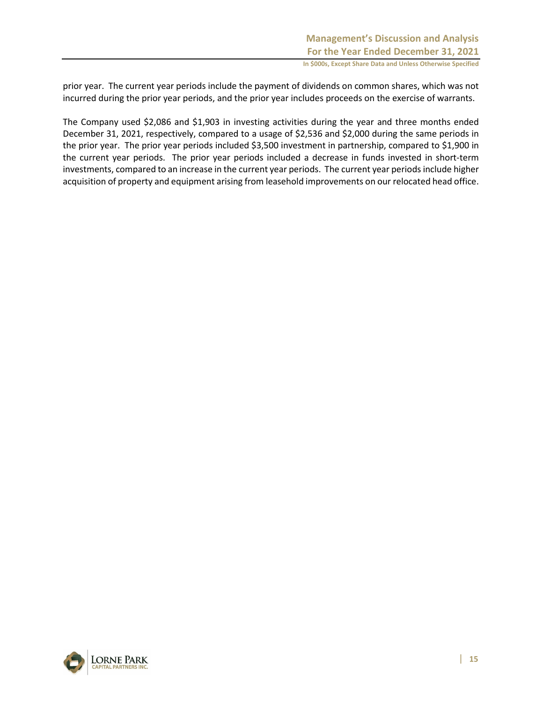prior year. The current year periods include the payment of dividends on common shares, which was not incurred during the prior year periods, and the prior year includes proceeds on the exercise of warrants.

The Company used \$2,086 and \$1,903 in investing activities during the year and three months ended December 31, 2021, respectively, compared to a usage of \$2,536 and \$2,000 during the same periods in the prior year. The prior year periods included \$3,500 investment in partnership, compared to \$1,900 in the current year periods. The prior year periods included a decrease in funds invested in short-term investments, compared to an increase in the current year periods. The current year periods include higher acquisition of property and equipment arising from leasehold improvements on our relocated head office.

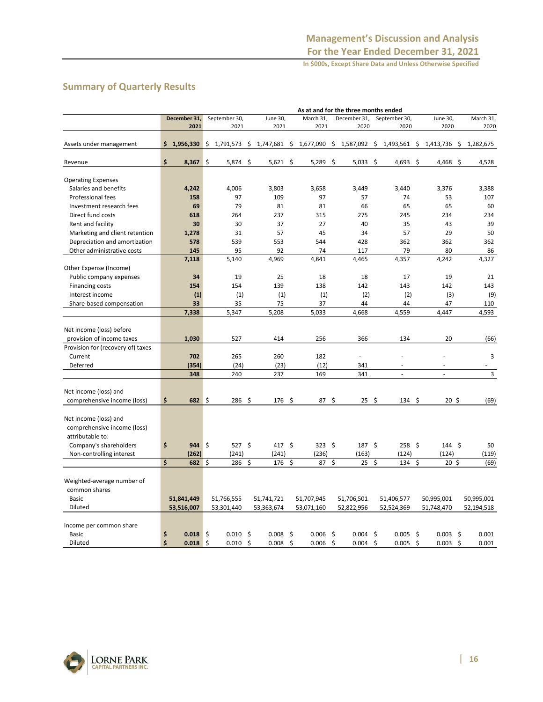# **Summary of Quarterly Results**

|                                         |    |              |     |               |     |            |    |                  |     | As at and for the three months ended |                  |    |                 |    |            |
|-----------------------------------------|----|--------------|-----|---------------|-----|------------|----|------------------|-----|--------------------------------------|------------------|----|-----------------|----|------------|
|                                         |    | December 31, |     | September 30, |     | June 30,   |    | March 31,        |     | December 31,                         | September 30,    |    | June 30,        |    | March 31,  |
|                                         |    | 2021         |     | 2021          |     | 2021       |    | 2021             |     | 2020                                 | 2020             |    | 2020            |    | 2020       |
| Assets under management                 |    | \$1,956,330  | \$  | 1,791,573     | \$  | 1,747,681  | \$ | 1,677,090        | \$  | 1,587,092                            | \$<br>1,493,561  | \$ | 1,413,736       | \$ | 1,282,675  |
|                                         |    |              |     |               |     |            |    |                  |     |                                      |                  |    |                 |    |            |
| Revenue                                 | \$ | 8,367        | -\$ | 5,874 \$      |     | $5,621$ \$ |    | 5,289            | \$  | $5,033$ \$                           | $4,693$ \$       |    | 4,468           | Ŝ. | 4,528      |
| <b>Operating Expenses</b>               |    |              |     |               |     |            |    |                  |     |                                      |                  |    |                 |    |            |
| Salaries and benefits                   |    | 4,242        |     | 4,006         |     | 3,803      |    | 3,658            |     | 3,449                                | 3,440            |    | 3,376           |    | 3,388      |
| <b>Professional fees</b>                |    | 158          |     | 97            |     | 109        |    | 97               |     | 57                                   | 74               |    | 53              |    | 107        |
| Investment research fees                |    | 69           |     | 79            |     | 81         |    | 81               |     | 66                                   | 65               |    | 65              |    | 60         |
| Direct fund costs                       |    | 618          |     | 264           |     | 237        |    | 315              |     | 275                                  | 245              |    | 234             |    | 234        |
| Rent and facility                       |    | 30           |     | 30            |     | 37         |    | 27               |     | 40                                   | 35               |    | 43              |    | 39         |
| Marketing and client retention          |    | 1,278        |     | 31            |     | 57         |    | 45               |     | 34                                   | 57               |    | 29              |    | 50         |
| Depreciation and amortization           |    | 578          |     | 539           |     | 553        |    | 544              |     | 428                                  | 362              |    | 362             |    | 362        |
| Other administrative costs              |    | 145          |     | 95            |     | 92         |    | 74               |     | 117                                  | 79               |    | 80              |    | 86         |
| Other Expense (Income)                  |    | 7,118        |     | 5,140         |     | 4,969      |    | 4,841            |     | 4,465                                | 4,357            |    | 4,242           |    | 4,327      |
| Public company expenses                 |    | 34           |     | 19            |     | 25         |    | 18               |     | 18                                   | 17               |    | 19              |    | 21         |
| <b>Financing costs</b>                  |    | 154          |     | 154           |     | 139        |    | 138              |     | 142                                  | 143              |    | 142             |    | 143        |
| Interest income                         |    | (1)          |     | (1)           |     | (1)        |    | (1)              |     | (2)                                  | (2)              |    | (3)             |    | (9)        |
| Share-based compensation                |    | 33           |     | 35            |     | 75         |    | 37               |     | 44                                   | 44               |    | 47              |    | 110        |
|                                         |    | 7,338        |     | 5,347         |     | 5,208      |    | 5,033            |     | 4,668                                | 4,559            |    | 4,447           |    | 4,593      |
|                                         |    |              |     |               |     |            |    |                  |     |                                      |                  |    |                 |    |            |
| Net income (loss) before                |    |              |     |               |     |            |    |                  |     |                                      |                  |    |                 |    |            |
| provision of income taxes               |    | 1,030        |     | 527           |     | 414        |    | 256              |     | 366                                  | 134              |    | 20              |    | (66)       |
| Provision for (recovery of) taxes       |    |              |     |               |     |            |    |                  |     |                                      |                  |    |                 |    |            |
| Current                                 |    | 702          |     | 265           |     | 260        |    | 182              |     | $\overline{a}$                       |                  |    |                 |    | 3          |
| Deferred                                |    | (354)        |     | (24)          |     | (23)       |    | (12)             |     | 341                                  | ä,               |    |                 |    |            |
|                                         |    | 348          |     | 240           |     | 237        |    | 169              |     | 341                                  | ÷.               |    | $\overline{a}$  |    | 3          |
| Net income (loss) and                   |    |              |     |               |     |            |    |                  |     |                                      |                  |    |                 |    |            |
| comprehensive income (loss)             | Ś  | 682          | \$  | 286           | -\$ | 176 \$     |    | 87 \$            |     | $25 \quad$ \$                        | 134 <sup>5</sup> |    | 20 <sub>5</sub> |    | (69)       |
|                                         |    |              |     |               |     |            |    |                  |     |                                      |                  |    |                 |    |            |
| Net income (loss) and                   |    |              |     |               |     |            |    |                  |     |                                      |                  |    |                 |    |            |
| comprehensive income (loss)             |    |              |     |               |     |            |    |                  |     |                                      |                  |    |                 |    |            |
| attributable to:                        |    |              |     |               |     |            |    |                  |     |                                      |                  |    |                 |    |            |
| Company's shareholders                  | \$ | $944 \;$ \$  |     | 527 \$        |     | 417S       |    | 323 <sup>5</sup> |     | $187 \;$ \$                          | $258 \;$ \$      |    | $144 \;$ \$     |    | 50         |
| Non-controlling interest                |    | (262)        |     | (241)         |     | (241)      |    | (236)            |     | (163)                                | (124)            |    | (124)           |    | (119)      |
|                                         | Ś  | 682          | \$  | 286           | \$  | 176        | \$ | 87               | \$  | 25                                   | \$<br>134        | \$ | 20 <sub>5</sub> |    | (69)       |
|                                         |    |              |     |               |     |            |    |                  |     |                                      |                  |    |                 |    |            |
| Weighted-average number of              |    |              |     |               |     |            |    |                  |     |                                      |                  |    |                 |    |            |
| common shares                           |    |              |     |               |     |            |    |                  |     |                                      |                  |    |                 |    |            |
| Basic                                   |    | 51,841,449   |     | 51,766,555    |     | 51,741,721 |    | 51,707,945       |     | 51,706,501                           | 51,406,577       |    | 50,995,001      |    | 50,995,001 |
| Diluted                                 |    | 53,516,007   |     | 53,301,440    |     | 53,363,674 |    | 53,071,160       |     | 52,822,956                           | 52,524,369       |    | 51,748,470      |    | 52,194,518 |
|                                         |    |              |     |               |     |            |    |                  |     |                                      |                  |    |                 |    |            |
| Income per common share<br><b>Basic</b> | \$ | $0.018$ \$   |     | 0.010         | -\$ | $0.008$ \$ |    | 0.006            | -\$ | $0.004$ \$                           | 0.005            | \$ | 0.003           | \$ | 0.001      |
| Diluted                                 | Ś  | 0.018        | Ś   | 0.010         | Ś   | 0.008      | Ś  | 0.006            | Ŝ.  | $0.004$ \$                           | 0.005            | Ś  | 0.003           | Ś  | 0.001      |

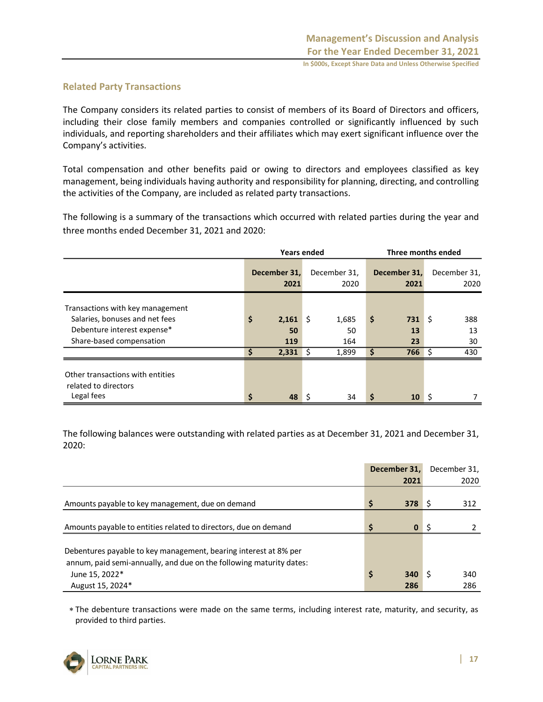#### **Related Party Transactions**

The Company considers its related parties to consist of members of its Board of Directors and officers, including their close family members and companies controlled or significantly influenced by such individuals, and reporting shareholders and their affiliates which may exert significant influence over the Company's activities.

Total compensation and other benefits paid or owing to directors and employees classified as key management, being individuals having authority and responsibility for planning, directing, and controlling the activities of the Company, are included as related party transactions.

The following is a summary of the transactions which occurred with related parties during the year and three months ended December 31, 2021 and 2020:

|                                                                        |                      | <b>Years ended</b> | Three months ended   |                      |           |    |                      |
|------------------------------------------------------------------------|----------------------|--------------------|----------------------|----------------------|-----------|----|----------------------|
|                                                                        | December 31,<br>2021 |                    | December 31,<br>2020 | December 31,<br>2021 |           |    | December 31,<br>2020 |
| Transactions with key management                                       |                      |                    |                      |                      |           |    |                      |
| Salaries, bonuses and net fees<br>Debenture interest expense*          | \$<br>2,161<br>50    | l \$               | 1,685<br>50          | \$                   | 731<br>13 | \$ | 388<br>13            |
| Share-based compensation                                               | 119                  |                    | 164                  |                      | 23        |    | 30                   |
|                                                                        | Ś<br>2,331           | -S                 | 1,899                | S                    | 766       | Ŝ. | 430                  |
| Other transactions with entities<br>related to directors<br>Legal fees | \$<br>48             | -S                 | 34                   | \$                   | 10        | -S |                      |

The following balances were outstanding with related parties as at December 31, 2021 and December 31, 2020:

|                                                                     | December 31,       |    | December 31, |
|---------------------------------------------------------------------|--------------------|----|--------------|
|                                                                     | 2021               |    | 2020         |
|                                                                     |                    |    |              |
| Amounts payable to key management, due on demand                    | Ś<br>378           |    | 312          |
|                                                                     |                    |    |              |
| Amounts payable to entities related to directors, due on demand     | Ś.<br>$\mathbf{0}$ | -Ś |              |
|                                                                     |                    |    |              |
| Debentures payable to key management, bearing interest at 8% per    |                    |    |              |
| annum, paid semi-annually, and due on the following maturity dates: |                    |    |              |
| June 15, 2022*                                                      | \$<br>340          |    | 340          |
| August 15, 2024*                                                    | 286                |    | 286          |

 The debenture transactions were made on the same terms, including interest rate, maturity, and security, as provided to third parties.

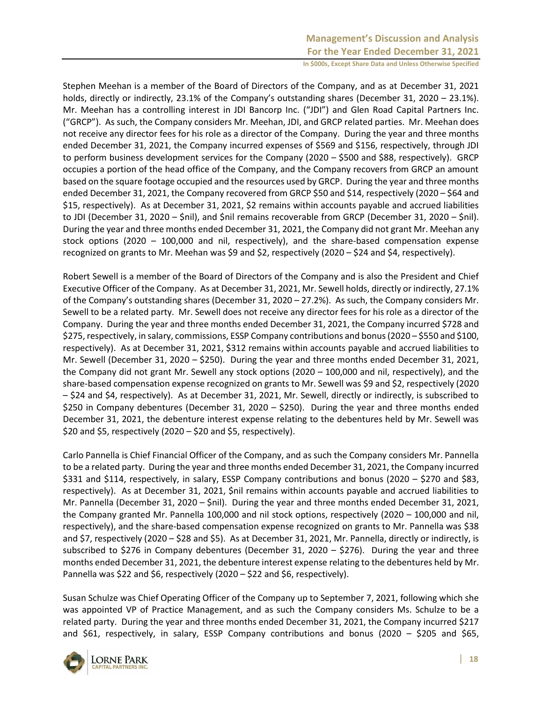Stephen Meehan is a member of the Board of Directors of the Company, and as at December 31, 2021 holds, directly or indirectly, 23.1% of the Company's outstanding shares (December 31, 2020 – 23.1%). Mr. Meehan has a controlling interest in JDI Bancorp Inc. ("JDI") and Glen Road Capital Partners Inc. ("GRCP"). As such, the Company considers Mr. Meehan, JDI, and GRCP related parties. Mr. Meehan does not receive any director fees for his role as a director of the Company. During the year and three months ended December 31, 2021, the Company incurred expenses of \$569 and \$156, respectively, through JDI to perform business development services for the Company (2020 – \$500 and \$88, respectively). GRCP occupies a portion of the head office of the Company, and the Company recovers from GRCP an amount based on the square footage occupied and the resources used by GRCP. During the year and three months ended December 31, 2021, the Company recovered from GRCP \$50 and \$14, respectively (2020 – \$64 and \$15, respectively). As at December 31, 2021, \$2 remains within accounts payable and accrued liabilities to JDI (December 31, 2020 – \$nil), and \$nil remains recoverable from GRCP (December 31, 2020 – \$nil). During the year and three months ended December 31, 2021, the Company did not grant Mr. Meehan any stock options (2020 – 100,000 and nil, respectively), and the share-based compensation expense recognized on grants to Mr. Meehan was \$9 and \$2, respectively (2020 – \$24 and \$4, respectively).

Robert Sewell is a member of the Board of Directors of the Company and is also the President and Chief Executive Officer of the Company. As at December 31, 2021, Mr. Sewell holds, directly or indirectly, 27.1% of the Company's outstanding shares (December 31, 2020 – 27.2%). As such, the Company considers Mr. Sewell to be a related party. Mr. Sewell does not receive any director fees for his role as a director of the Company. During the year and three months ended December 31, 2021, the Company incurred \$728 and \$275, respectively, in salary, commissions, ESSP Company contributions and bonus (2020 – \$550 and \$100, respectively). As at December 31, 2021, \$312 remains within accounts payable and accrued liabilities to Mr. Sewell (December 31, 2020 – \$250). During the year and three months ended December 31, 2021, the Company did not grant Mr. Sewell any stock options (2020 – 100,000 and nil, respectively), and the share-based compensation expense recognized on grants to Mr. Sewell was \$9 and \$2, respectively (2020 – \$24 and \$4, respectively). As at December 31, 2021, Mr. Sewell, directly or indirectly, is subscribed to \$250 in Company debentures (December 31, 2020 – \$250). During the year and three months ended December 31, 2021, the debenture interest expense relating to the debentures held by Mr. Sewell was \$20 and \$5, respectively (2020 – \$20 and \$5, respectively).

Carlo Pannella is Chief Financial Officer of the Company, and as such the Company considers Mr. Pannella to be a related party. During the year and three months ended December 31, 2021, the Company incurred \$331 and \$114, respectively, in salary, ESSP Company contributions and bonus (2020 – \$270 and \$83, respectively). As at December 31, 2021, \$nil remains within accounts payable and accrued liabilities to Mr. Pannella (December 31, 2020 – \$nil). During the year and three months ended December 31, 2021, the Company granted Mr. Pannella 100,000 and nil stock options, respectively (2020 – 100,000 and nil, respectively), and the share-based compensation expense recognized on grants to Mr. Pannella was \$38 and \$7, respectively (2020 – \$28 and \$5). As at December 31, 2021, Mr. Pannella, directly or indirectly, is subscribed to \$276 in Company debentures (December 31, 2020 – \$276). During the year and three months ended December 31, 2021, the debenture interest expense relating to the debentures held by Mr. Pannella was \$22 and \$6, respectively (2020 – \$22 and \$6, respectively).

Susan Schulze was Chief Operating Officer of the Company up to September 7, 2021, following which she was appointed VP of Practice Management, and as such the Company considers Ms. Schulze to be a related party. During the year and three months ended December 31, 2021, the Company incurred \$217 and \$61, respectively, in salary, ESSP Company contributions and bonus (2020 – \$205 and \$65,

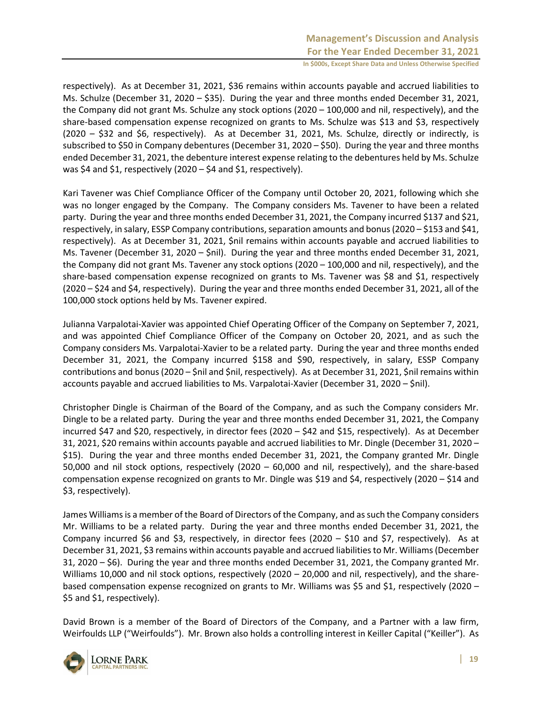respectively). As at December 31, 2021, \$36 remains within accounts payable and accrued liabilities to Ms. Schulze (December 31, 2020 – \$35). During the year and three months ended December 31, 2021, the Company did not grant Ms. Schulze any stock options (2020 – 100,000 and nil, respectively), and the share-based compensation expense recognized on grants to Ms. Schulze was \$13 and \$3, respectively (2020 – \$32 and \$6, respectively). As at December 31, 2021, Ms. Schulze, directly or indirectly, is subscribed to \$50 in Company debentures (December 31, 2020 – \$50). During the year and three months ended December 31, 2021, the debenture interest expense relating to the debentures held by Ms. Schulze was \$4 and \$1, respectively (2020 – \$4 and \$1, respectively).

Kari Tavener was Chief Compliance Officer of the Company until October 20, 2021, following which she was no longer engaged by the Company. The Company considers Ms. Tavener to have been a related party. During the year and three months ended December 31, 2021, the Company incurred \$137 and \$21, respectively, in salary, ESSP Company contributions, separation amounts and bonus (2020 – \$153 and \$41, respectively). As at December 31, 2021, \$nil remains within accounts payable and accrued liabilities to Ms. Tavener (December 31, 2020 – \$nil). During the year and three months ended December 31, 2021, the Company did not grant Ms. Tavener any stock options (2020 – 100,000 and nil, respectively), and the share-based compensation expense recognized on grants to Ms. Tavener was \$8 and \$1, respectively (2020 – \$24 and \$4, respectively). During the year and three months ended December 31, 2021, all of the 100,000 stock options held by Ms. Tavener expired.

Julianna Varpalotai-Xavier was appointed Chief Operating Officer of the Company on September 7, 2021, and was appointed Chief Compliance Officer of the Company on October 20, 2021, and as such the Company considers Ms. Varpalotai-Xavier to be a related party. During the year and three months ended December 31, 2021, the Company incurred \$158 and \$90, respectively, in salary, ESSP Company contributions and bonus (2020 – \$nil and \$nil, respectively). As at December 31, 2021, \$nil remains within accounts payable and accrued liabilities to Ms. Varpalotai-Xavier (December 31, 2020 – \$nil).

Christopher Dingle is Chairman of the Board of the Company, and as such the Company considers Mr. Dingle to be a related party. During the year and three months ended December 31, 2021, the Company incurred \$47 and \$20, respectively, in director fees (2020 – \$42 and \$15, respectively). As at December 31, 2021, \$20 remains within accounts payable and accrued liabilities to Mr. Dingle (December 31, 2020 – \$15). During the year and three months ended December 31, 2021, the Company granted Mr. Dingle 50,000 and nil stock options, respectively (2020 – 60,000 and nil, respectively), and the share-based compensation expense recognized on grants to Mr. Dingle was \$19 and \$4, respectively (2020 – \$14 and \$3, respectively).

James Williams is a member of the Board of Directors of the Company, and as such the Company considers Mr. Williams to be a related party. During the year and three months ended December 31, 2021, the Company incurred \$6 and \$3, respectively, in director fees (2020 – \$10 and \$7, respectively). As at December 31, 2021, \$3 remains within accounts payable and accrued liabilities to Mr. Williams (December 31, 2020 – \$6). During the year and three months ended December 31, 2021, the Company granted Mr. Williams 10,000 and nil stock options, respectively (2020 – 20,000 and nil, respectively), and the sharebased compensation expense recognized on grants to Mr. Williams was \$5 and \$1, respectively (2020 – \$5 and \$1, respectively).

David Brown is a member of the Board of Directors of the Company, and a Partner with a law firm, Weirfoulds LLP ("Weirfoulds"). Mr. Brown also holds a controlling interest in Keiller Capital ("Keiller"). As

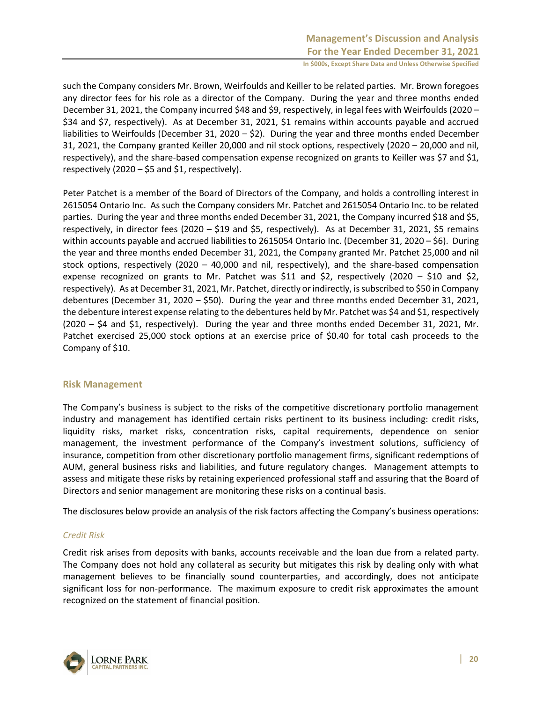such the Company considers Mr. Brown, Weirfoulds and Keiller to be related parties. Mr. Brown foregoes any director fees for his role as a director of the Company. During the year and three months ended December 31, 2021, the Company incurred \$48 and \$9, respectively, in legal fees with Weirfoulds (2020 – \$34 and \$7, respectively). As at December 31, 2021, \$1 remains within accounts payable and accrued liabilities to Weirfoulds (December 31, 2020 – \$2). During the year and three months ended December 31, 2021, the Company granted Keiller 20,000 and nil stock options, respectively (2020 – 20,000 and nil, respectively), and the share-based compensation expense recognized on grants to Keiller was \$7 and \$1, respectively (2020 – \$5 and \$1, respectively).

Peter Patchet is a member of the Board of Directors of the Company, and holds a controlling interest in 2615054 Ontario Inc. As such the Company considers Mr. Patchet and 2615054 Ontario Inc. to be related parties. During the year and three months ended December 31, 2021, the Company incurred \$18 and \$5, respectively, in director fees (2020 – \$19 and \$5, respectively). As at December 31, 2021, \$5 remains within accounts payable and accrued liabilities to 2615054 Ontario Inc. (December 31, 2020 – \$6). During the year and three months ended December 31, 2021, the Company granted Mr. Patchet 25,000 and nil stock options, respectively (2020 – 40,000 and nil, respectively), and the share-based compensation expense recognized on grants to Mr. Patchet was \$11 and \$2, respectively (2020 – \$10 and \$2, respectively). As at December 31, 2021, Mr. Patchet, directly or indirectly, is subscribed to \$50 in Company debentures (December 31, 2020 – \$50). During the year and three months ended December 31, 2021, the debenture interest expense relating to the debentures held by Mr. Patchet was \$4 and \$1, respectively (2020 – \$4 and \$1, respectively). During the year and three months ended December 31, 2021, Mr. Patchet exercised 25,000 stock options at an exercise price of \$0.40 for total cash proceeds to the Company of \$10.

#### **Risk Management**

The Company's business is subject to the risks of the competitive discretionary portfolio management industry and management has identified certain risks pertinent to its business including: credit risks, liquidity risks, market risks, concentration risks, capital requirements, dependence on senior management, the investment performance of the Company's investment solutions, sufficiency of insurance, competition from other discretionary portfolio management firms, significant redemptions of AUM, general business risks and liabilities, and future regulatory changes. Management attempts to assess and mitigate these risks by retaining experienced professional staff and assuring that the Board of Directors and senior management are monitoring these risks on a continual basis.

The disclosures below provide an analysis of the risk factors affecting the Company's business operations:

#### *Credit Risk*

Credit risk arises from deposits with banks, accounts receivable and the loan due from a related party. The Company does not hold any collateral as security but mitigates this risk by dealing only with what management believes to be financially sound counterparties, and accordingly, does not anticipate significant loss for non-performance. The maximum exposure to credit risk approximates the amount recognized on the statement of financial position.

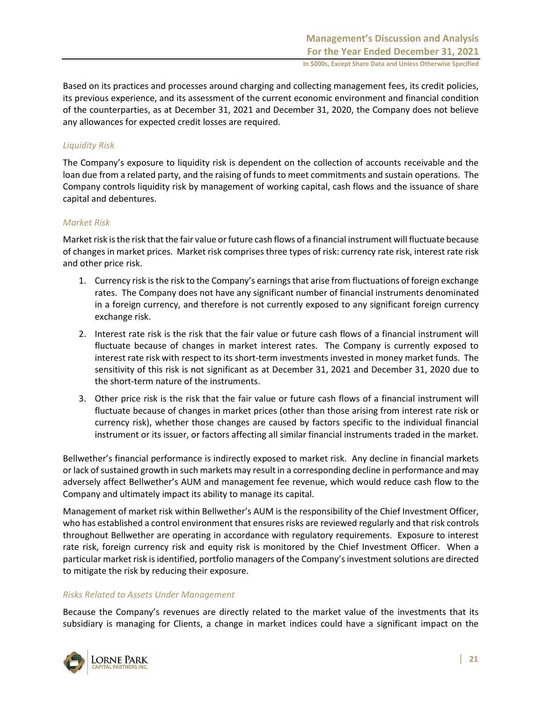Based on its practices and processes around charging and collecting management fees, its credit policies, its previous experience, and its assessment of the current economic environment and financial condition of the counterparties, as at December 31, 2021 and December 31, 2020, the Company does not believe any allowances for expected credit losses are required.

### *Liquidity Risk*

The Company's exposure to liquidity risk is dependent on the collection of accounts receivable and the loan due from a related party, and the raising of funds to meet commitments and sustain operations. The Company controls liquidity risk by management of working capital, cash flows and the issuance of share capital and debentures.

#### *Market Risk*

Market risk is the risk that the fair value or future cash flows of a financial instrument will fluctuate because of changes in market prices. Market risk comprises three types of risk: currency rate risk, interest rate risk and other price risk.

- 1. Currency risk is the risk to the Company's earnings that arise from fluctuations of foreign exchange rates. The Company does not have any significant number of financial instruments denominated in a foreign currency, and therefore is not currently exposed to any significant foreign currency exchange risk.
- 2. Interest rate risk is the risk that the fair value or future cash flows of a financial instrument will fluctuate because of changes in market interest rates. The Company is currently exposed to interest rate risk with respect to its short-term investments invested in money market funds. The sensitivity of this risk is not significant as at December 31, 2021 and December 31, 2020 due to the short-term nature of the instruments.
- 3. Other price risk is the risk that the fair value or future cash flows of a financial instrument will fluctuate because of changes in market prices (other than those arising from interest rate risk or currency risk), whether those changes are caused by factors specific to the individual financial instrument or its issuer, or factors affecting all similar financial instruments traded in the market.

Bellwether's financial performance is indirectly exposed to market risk. Any decline in financial markets or lack of sustained growth in such markets may result in a corresponding decline in performance and may adversely affect Bellwether's AUM and management fee revenue, which would reduce cash flow to the Company and ultimately impact its ability to manage its capital.

Management of market risk within Bellwether's AUM is the responsibility of the Chief Investment Officer, who has established a control environment that ensures risks are reviewed regularly and that risk controls throughout Bellwether are operating in accordance with regulatory requirements. Exposure to interest rate risk, foreign currency risk and equity risk is monitored by the Chief Investment Officer. When a particular market risk is identified, portfolio managers of the Company's investment solutions are directed to mitigate the risk by reducing their exposure.

#### *Risks Related to Assets Under Management*

Because the Company's revenues are directly related to the market value of the investments that its subsidiary is managing for Clients, a change in market indices could have a significant impact on the

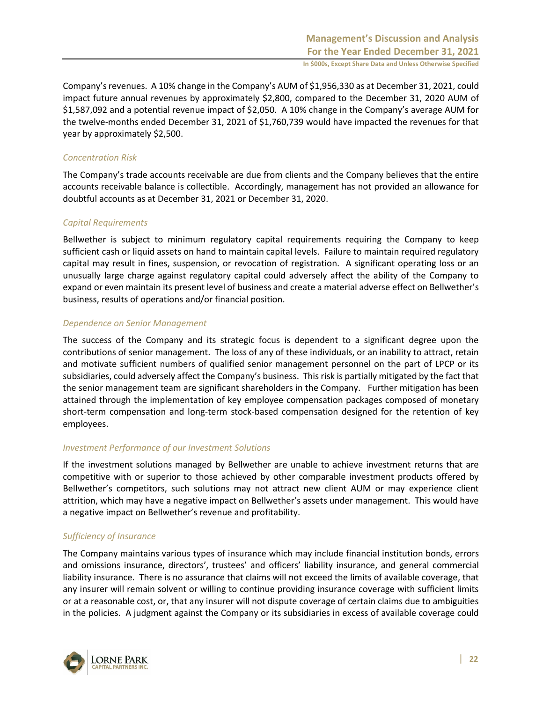Company's revenues. A 10% change in the Company's AUM of \$1,956,330 as at December 31, 2021, could impact future annual revenues by approximately \$2,800, compared to the December 31, 2020 AUM of \$1,587,092 and a potential revenue impact of \$2,050. A 10% change in the Company's average AUM for the twelve-months ended December 31, 2021 of \$1,760,739 would have impacted the revenues for that year by approximately \$2,500.

#### *Concentration Risk*

The Company's trade accounts receivable are due from clients and the Company believes that the entire accounts receivable balance is collectible. Accordingly, management has not provided an allowance for doubtful accounts as at December 31, 2021 or December 31, 2020.

#### *Capital Requirements*

Bellwether is subject to minimum regulatory capital requirements requiring the Company to keep sufficient cash or liquid assets on hand to maintain capital levels. Failure to maintain required regulatory capital may result in fines, suspension, or revocation of registration. A significant operating loss or an unusually large charge against regulatory capital could adversely affect the ability of the Company to expand or even maintain its present level of business and create a material adverse effect on Bellwether's business, results of operations and/or financial position.

#### *Dependence on Senior Management*

The success of the Company and its strategic focus is dependent to a significant degree upon the contributions of senior management. The loss of any of these individuals, or an inability to attract, retain and motivate sufficient numbers of qualified senior management personnel on the part of LPCP or its subsidiaries, could adversely affect the Company's business. This risk is partially mitigated by the fact that the senior management team are significant shareholders in the Company. Further mitigation has been attained through the implementation of key employee compensation packages composed of monetary short-term compensation and long-term stock-based compensation designed for the retention of key employees.

#### *Investment Performance of our Investment Solutions*

If the investment solutions managed by Bellwether are unable to achieve investment returns that are competitive with or superior to those achieved by other comparable investment products offered by Bellwether's competitors, such solutions may not attract new client AUM or may experience client attrition, which may have a negative impact on Bellwether's assets under management. This would have a negative impact on Bellwether's revenue and profitability.

#### *Sufficiency of Insurance*

The Company maintains various types of insurance which may include financial institution bonds, errors and omissions insurance, directors', trustees' and officers' liability insurance, and general commercial liability insurance. There is no assurance that claims will not exceed the limits of available coverage, that any insurer will remain solvent or willing to continue providing insurance coverage with sufficient limits or at a reasonable cost, or, that any insurer will not dispute coverage of certain claims due to ambiguities in the policies. A judgment against the Company or its subsidiaries in excess of available coverage could